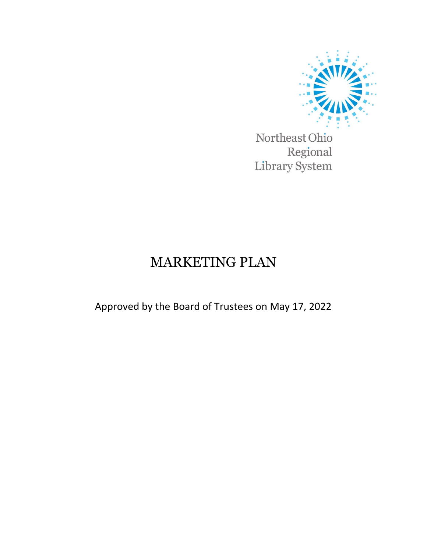

Northeast Ohio Regional Library System

# MARKETING PLAN

Approved by the Board of Trustees on May 17, 2022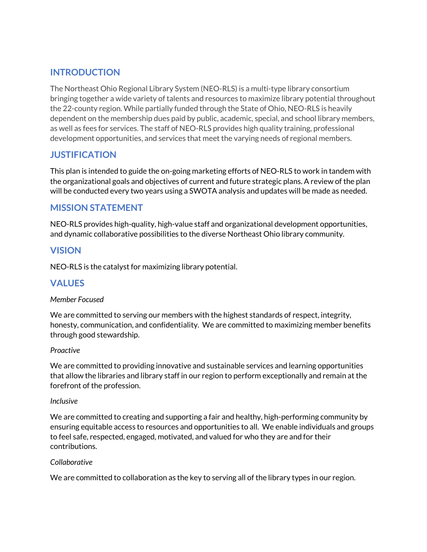# **INTRODUCTION**

The Northeast Ohio Regional Library System (NEO-RLS) is a multi-type library consortium bringing together a wide variety of talents and resources to maximize library potential throughout the 22-county region. While partially funded through the State of Ohio, NEO-RLS is heavily dependent on the membership dues paid by public, academic, special, and school library members, as well as fees for services. The staff of NEO-RLS provides high quality training, professional development opportunities, and services that meet the varying needs of regional members.

# **JUSTIFICATION**

This plan is intended to guide the on-going marketing efforts of NEO-RLS to work in tandem with the organizational goals and objectives of current and future strategic plans. A review of the plan will be conducted every two years using a SWOTA analysis and updates will be made as needed.

## **MISSION STATEMENT**

NEO-RLS provides high-quality, high-value staff and organizational development opportunities, and dynamic collaborative possibilities to the diverse Northeast Ohio library community.

## **VISION**

NEO-RLS is the catalyst for maximizing library potential.

## **VALUES**

#### *Member Focused*

We are committed to serving our members with the highest standards of respect, integrity, honesty, communication, and confidentiality. We are committed to maximizing member benefits through good stewardship.

#### *Proactive*

We are committed to providing innovative and sustainable services and learning opportunities that allow the libraries and library staff in our region to perform exceptionally and remain at the forefront of the profession.

#### *Inclusive*

We are committed to creating and supporting a fair and healthy, high-performing community by ensuring equitable access to resources and opportunities to all. We enable individuals and groups to feel safe, respected, engaged, motivated, and valued for who they are and for their contributions.

#### *Collaborative*

We are committed to collaboration as the key to serving all of the library types in our region.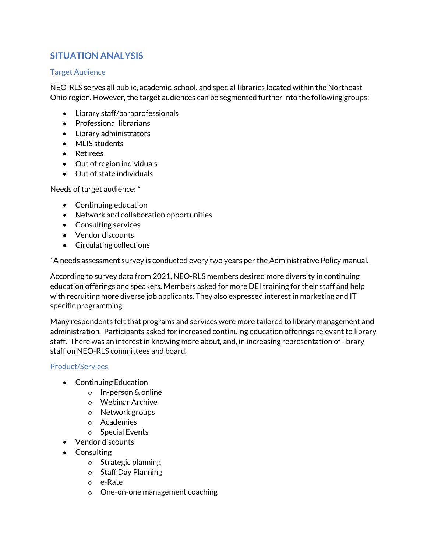# **SITUATION ANALYSIS**

#### Target Audience

NEO-RLS serves all public, academic, school, and special libraries located within the Northeast Ohio region. However, the target audiences can be segmented further into the following groups:

- Library staff/paraprofessionals
- Professional librarians
- Library administrators
- MLIS students
- Retirees
- Out of region individuals
- Out of state individuals

Needs of target audience: \*

- Continuing education
- Network and collaboration opportunities
- Consulting services
- Vendor discounts
- Circulating collections

\*A needs assessment survey is conducted every two years per the Administrative Policy manual.

According to survey data from 2021, NEO-RLS members desired more diversity in continuing education offerings and speakers. Members asked for more DEI training for their staff and help with recruiting more diverse job applicants. They also expressed interest in marketing and IT specific programming.

Many respondents felt that programs and services were more tailored to library management and administration. Participants asked for increased continuing education offerings relevant to library staff. There was an interest in knowing more about, and, in increasing representation of library staff on NEO-RLS committees and board.

#### Product/Services

- Continuing Education
	- o In-person & online
	- o Webinar Archive
	- o Network groups
	- o Academies
	- o Special Events
- Vendor discounts
- Consulting
	- o Strategic planning
	- o Staff Day Planning
	- o e-Rate
	- o One-on-one management coaching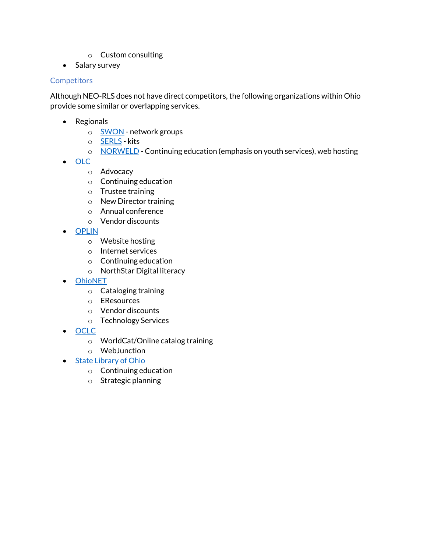- o Custom consulting
- Salary survey

### **Competitors**

Although NEO-RLS does not have direct competitors, the following organizations within Ohio provide some similar or overlapping services.

- Regionals
	- o [SWON](https://swonlibraries.org/) network groups
	- o **[SERLS](https://www.serls.org/)** kits
	- o [NORWELD](https://www.norweld.org/) Continuing education (emphasis on youth services), web hosting
- [OLC](https://olc.org/)
	- o Advocacy
	- o Continuing education
	- o Trustee training
	- o New Director training
	- o Annual conference
	- o Vendor discounts
- [OPLIN](https://www.oplin.ohio.gov/)
	- o Website hosting
	- o Internet services
	- o Continuing education
	- o NorthStar Digital literacy
- **[OhioNET](https://www.ohionet.org/)** 
	- o Cataloging training
	- o EResources
	- o Vendor discounts
	- o Technology Services
- [OCLC](https://www.oclc.org/en/home.html)
	- o WorldCat/Online catalog training
	- o WebJunction
- [State Library of Ohio](https://library.ohio.gov/)
	- o Continuing education
	- o Strategic planning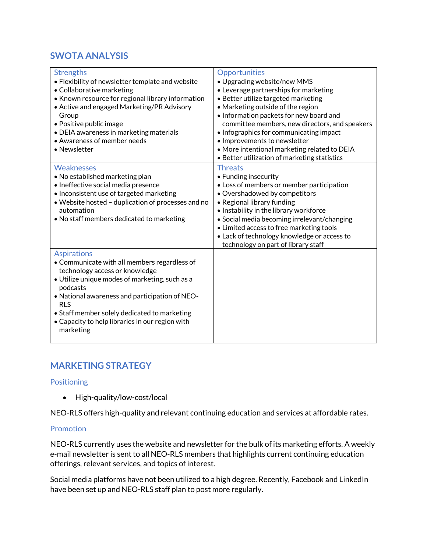# **SWOTA ANALYSIS**

| <b>Strengths</b><br>• Flexibility of newsletter template and website<br>• Collaborative marketing<br>• Known resource for regional library information<br>• Active and engaged Marketing/PR Advisory<br>Group<br>• Positive public image<br>• DEIA awareness in marketing materials<br>• Awareness of member needs<br>• Newsletter                 | Opportunities<br>· Upgrading website/new MMS<br>• Leverage partnerships for marketing<br>• Better utilize targeted marketing<br>• Marketing outside of the region<br>. Information packets for new board and<br>committee members, new directors, and speakers<br>• Infographics for communicating impact<br>· Improvements to newsletter<br>• More intentional marketing related to DEIA<br>• Better utilization of marketing statistics |
|----------------------------------------------------------------------------------------------------------------------------------------------------------------------------------------------------------------------------------------------------------------------------------------------------------------------------------------------------|-------------------------------------------------------------------------------------------------------------------------------------------------------------------------------------------------------------------------------------------------------------------------------------------------------------------------------------------------------------------------------------------------------------------------------------------|
| <b>Weaknesses</b><br>• No established marketing plan<br>• Ineffective social media presence<br>• Inconsistent use of targeted marketing<br>• Website hosted - duplication of processes and no<br>automation<br>• No staff members dedicated to marketing                                                                                           | <b>Threats</b><br>• Funding insecurity<br>• Loss of members or member participation<br>• Overshadowed by competitors<br>• Regional library funding<br>. Instability in the library workforce<br>• Social media becoming irrelevant/changing<br>• Limited access to free marketing tools<br>• Lack of technology knowledge or access to<br>technology on part of library staff                                                             |
| <b>Aspirations</b><br>• Communicate with all members regardless of<br>technology access or knowledge<br>· Utilize unique modes of marketing, such as a<br>podcasts<br>• National awareness and participation of NEO-<br><b>RLS</b><br>• Staff member solely dedicated to marketing<br>• Capacity to help libraries in our region with<br>marketing |                                                                                                                                                                                                                                                                                                                                                                                                                                           |

# **MARKETING STRATEGY**

#### Positioning

• High-quality/low-cost/local

NEO-RLS offers high-quality and relevant continuing education and services at affordable rates.

#### Promotion

NEO-RLS currently uses the website and newsletter for the bulk of its marketing efforts. A weekly e-mail newsletter is sent to all NEO-RLS members that highlights current continuing education offerings, relevant services, and topics of interest.

Social media platforms have not been utilized to a high degree. Recently, Facebook and LinkedIn have been set up and NEO-RLS staff plan to post more regularly.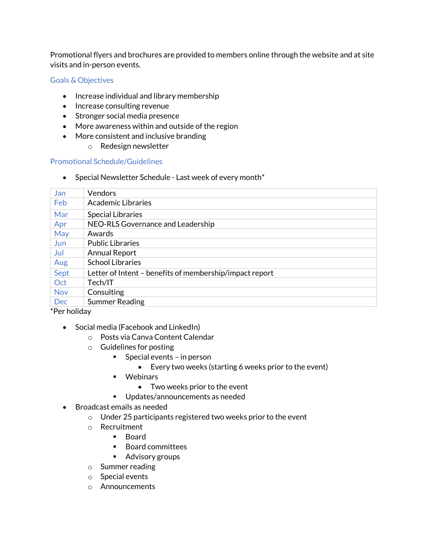Promotional flyers and brochures are provided to members online through the website and at site visits and in-person events.

#### Goals & Objectives

- Increase individual and library membership
- Increase consulting revenue
- Stronger social media presence
- More awareness within and outside of the region
- More consistent and inclusive branding
	- o Redesign newsletter

#### Promotional Schedule/Guidelines

• Special Newsletter Schedule - Last week of every month $*$ 

| Jan        | <b>Vendors</b>                                          |
|------------|---------------------------------------------------------|
| Feb        | Academic Libraries                                      |
| Mar        | <b>Special Libraries</b>                                |
| Apr        | NEO-RLS Governance and Leadership                       |
| May        | Awards                                                  |
| Jun        | <b>Public Libraries</b>                                 |
| Jul        | <b>Annual Report</b>                                    |
| Aug        | <b>School Libraries</b>                                 |
| Sept       | Letter of Intent – benefits of membership/impact report |
| Oct        | Tech/IT                                                 |
| <b>Nov</b> | Consulting                                              |
| <b>Dec</b> | <b>Summer Reading</b>                                   |

#### \*Per holiday

- Social media (Facebook and LinkedIn)
	- o Posts via Canva Content Calendar
	- o Guidelines for posting
		- Special events in person
			- Every two weeks (starting 6 weeks prior to the event)
		- **•** Webinars
			- Two weeks prior to the event
		- **Updates/announcements as needed**
- Broadcast emails as needed
	- $\circ$  Under 25 participants registered two weeks prior to the event
	- o Recruitment
		- **Board**
		- Board committees
		- **Advisory groups**
	- o Summer reading
	- o Special events
	- o Announcements